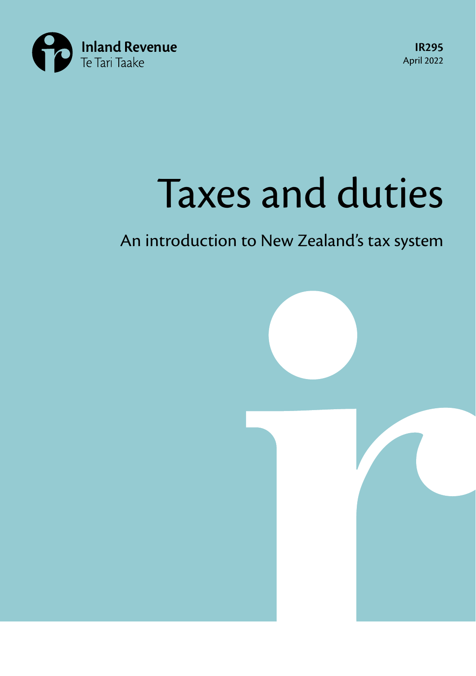

**IR295** April 2022

# Taxes and duties

## An introduction to New Zealand's tax system

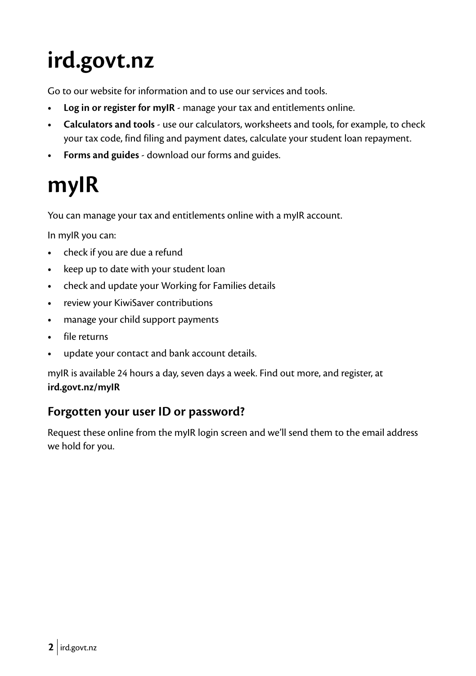## <span id="page-1-0"></span>**[ird.govt.nz](http://ird.govt.nz)**

Go to our website for information and to use our services and tools.

- **• Log in or register for myIR** manage your tax and entitlements online.
- **• Calculators and tools** use our calculators, worksheets and tools, for example, to check your tax code, find filing and payment dates, calculate your student loan repayment.
- **• Forms and guides** download our forms and guides.

## **myIR**

You can manage your tax and entitlements online with a myIR account.

In myIR you can:

- **•** check if you are due a refund
- **•** keep up to date with your student loan
- **•** check and update your Working for Families details
- **•** review your KiwiSaver contributions
- **•** manage your child support payments
- **•** file returns
- **•** update your contact and bank account details.

myIR is available 24 hours a day, seven days a week. Find out more, and register, at **[ird.govt.nz/myIR](http://ird.govt.nz/myIR)**

#### **Forgotten your user ID or password?**

Request these online from the myIR login screen and we'll send them to the email address we hold for you.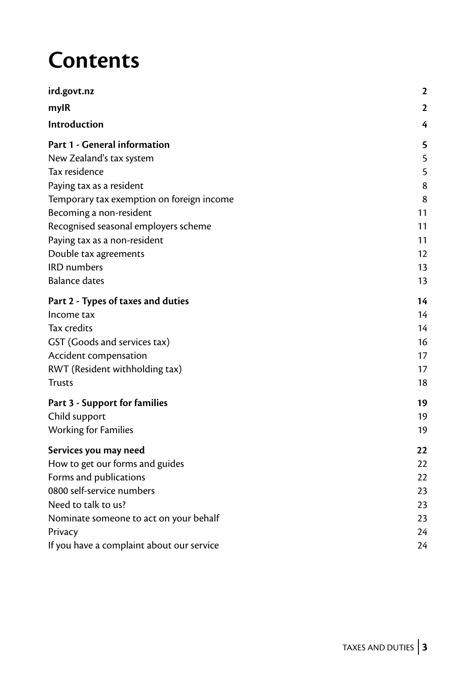## **Contents**

| ird.govt.nz                               | $\mathbf{2}$ |
|-------------------------------------------|--------------|
| mylR                                      | 2            |
| Introduction                              | 4            |
| Part 1 - General information              | 5            |
| New Zealand's tax system                  | 5            |
| Tax residence                             | 5            |
| Paying tax as a resident                  | 8            |
| Temporary tax exemption on foreign income | 8            |
| Becoming a non-resident                   | 11           |
| Recognised seasonal employers scheme      | 11           |
| Paying tax as a non-resident              | 11           |
| Double tax agreements                     | 12           |
| <b>IRD</b> numbers                        | 13           |
| <b>Balance dates</b>                      | 13           |
| Part 2 - Types of taxes and duties        | 14           |
| Income tax                                | 14           |
| Tax credits                               | 14           |
| GST (Goods and services tax)              | 16           |
| Accident compensation                     | 17           |
| RWT (Resident withholding tax)            | 17           |
| <b>Trusts</b>                             | 18           |
| Part 3 - Support for families             | 19           |
| Child support                             | 19           |
| <b>Working for Families</b>               | 19           |
| Services you may need                     | 22           |
| How to get our forms and guides           | 22           |
| Forms and publications                    | 22           |
| 0800 self-service numbers                 | 23           |
| Need to talk to us?                       | 23           |
| Nominate someone to act on your behalf    | 23           |
| Privacy                                   | 24           |
| If you have a complaint about our service | 24           |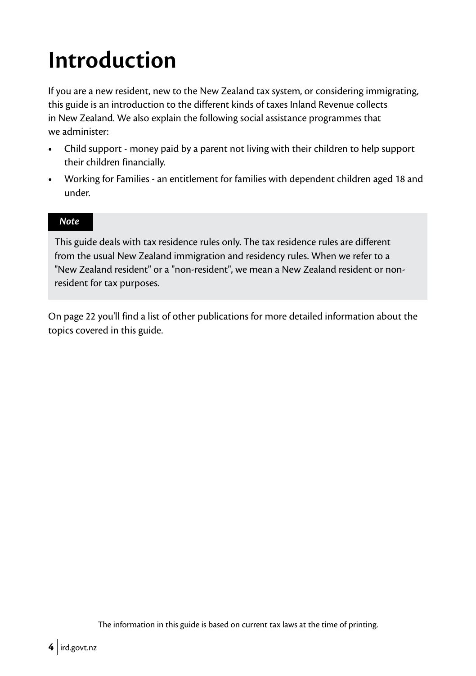## <span id="page-3-0"></span>**Introduction**

If you are a new resident, new to the New Zealand tax system, or considering immigrating, this guide is an introduction to the different kinds of taxes Inland Revenue collects in New Zealand. We also explain the following social assistance programmes that we administer:

- **•** Child support money paid by a parent not living with their children to help support their children financially.
- **•** Working for Families an entitlement for families with dependent children aged 18 and under.

#### *Note*

This guide deals with tax residence rules only. The tax residence rules are different from the usual New Zealand immigration and residency rules. When we refer to a "New Zealand resident" or a "non-resident", we mean a New Zealand resident or nonresident for tax purposes.

On page 22 you'll find a list of other publications for more detailed information about the topics covered in this guide.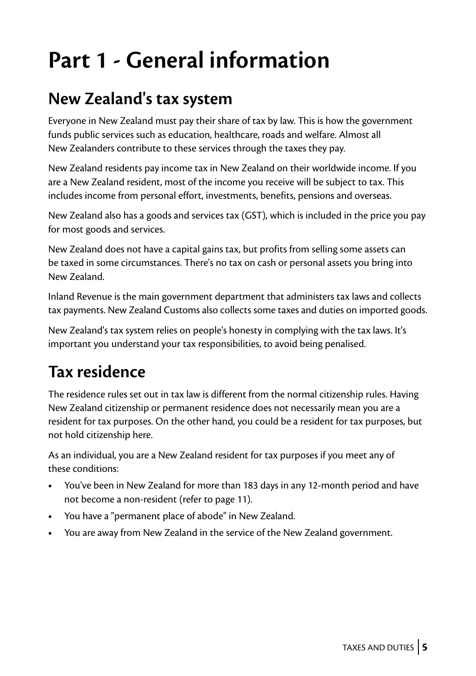## <span id="page-4-0"></span>**Part 1 - General information**

## **New Zealand's tax system**

Everyone in New Zealand must pay their share of tax by law. This is how the government funds public services such as education, healthcare, roads and welfare. Almost all New Zealanders contribute to these services through the taxes they pay.

New Zealand residents pay income tax in New Zealand on their worldwide income. If you are a New Zealand resident, most of the income you receive will be subject to tax. This includes income from personal effort, investments, benefits, pensions and overseas.

New Zealand also has a goods and services tax (GST), which is included in the price you pay for most goods and services.

New Zealand does not have a capital gains tax, but profits from selling some assets can be taxed in some circumstances. There's no tax on cash or personal assets you bring into New Zealand.

Inland Revenue is the main government department that administers tax laws and collects tax payments. New Zealand Customs also collects some taxes and duties on imported goods.

New Zealand's tax system relies on people's honesty in complying with the tax laws. It's important you understand your tax responsibilities, to avoid being penalised.

## **Tax residence**

The residence rules set out in tax law is different from the normal citizenship rules. Having New Zealand citizenship or permanent residence does not necessarily mean you are a resident for tax purposes. On the other hand, you could be a resident for tax purposes, but not hold citizenship here.

As an individual, you are a New Zealand resident for tax purposes if you meet any of these conditions:

- **•** You've been in New Zealand for more than 183 days in any 12-month period and have not become a non-resident (refer to page 11).
- **•** You have a "permanent place of abode" in New Zealand.
- **•** You are away from New Zealand in the service of the New Zealand government.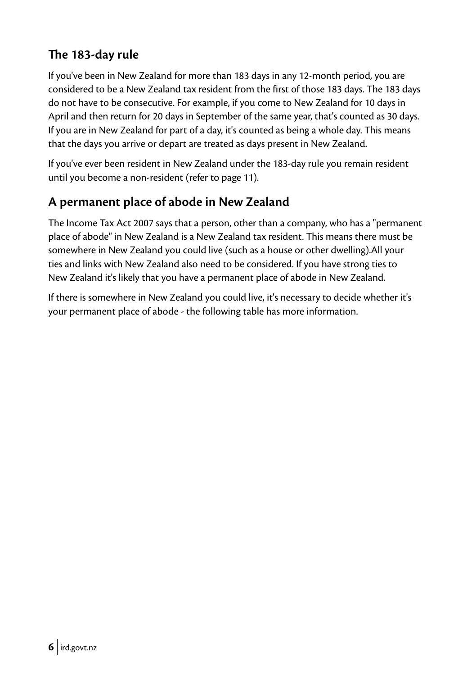#### **The 183-day rule**

If you've been in New Zealand for more than 183 days in any 12-month period, you are considered to be a New Zealand tax resident from the first of those 183 days. The 183 days do not have to be consecutive. For example, if you come to New Zealand for 10 days in April and then return for 20 days in September of the same year, that's counted as 30 days. If you are in New Zealand for part of a day, it's counted as being a whole day. This means that the days you arrive or depart are treated as days present in New Zealand.

If you've ever been resident in New Zealand under the 183-day rule you remain resident until you become a non-resident (refer to page 11).

#### **A permanent place of abode in New Zealand**

The Income Tax Act 2007 says that a person, other than a company, who has a "permanent place of abode" in New Zealand is a New Zealand tax resident. This means there must be somewhere in New Zealand you could live (such as a house or other dwelling).All your ties and links with New Zealand also need to be considered. If you have strong ties to New Zealand it's likely that you have a permanent place of abode in New Zealand.

If there is somewhere in New Zealand you could live, it's necessary to decide whether it's your permanent place of abode - the following table has more information.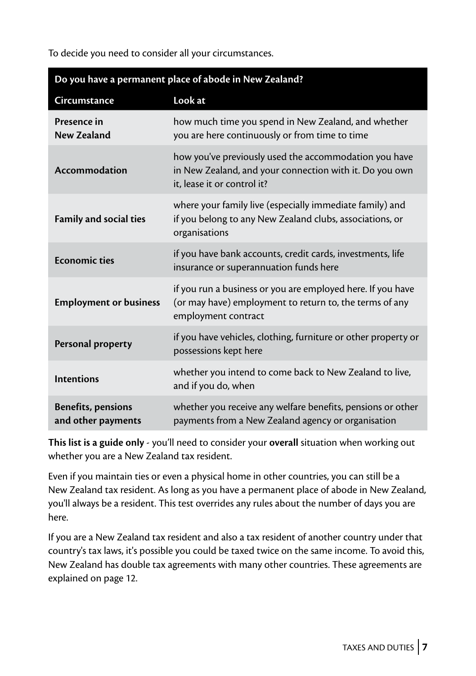To decide you need to consider all your circumstances.

| Do you have a permanent place of abode in New Zealand? |                                                                                                                                                 |  |  |
|--------------------------------------------------------|-------------------------------------------------------------------------------------------------------------------------------------------------|--|--|
| Circumstance                                           | Look at                                                                                                                                         |  |  |
| Presence in<br>New Zealand                             | how much time you spend in New Zealand, and whether<br>you are here continuously or from time to time                                           |  |  |
| <b>Accommodation</b>                                   | how you've previously used the accommodation you have<br>in New Zealand, and your connection with it. Do you own<br>it, lease it or control it? |  |  |
| <b>Family and social ties</b>                          | where your family live (especially immediate family) and<br>if you belong to any New Zealand clubs, associations, or<br>organisations           |  |  |
| <b>Economic ties</b>                                   | if you have bank accounts, credit cards, investments, life<br>insurance or superannuation funds here                                            |  |  |
| <b>Employment or business</b>                          | if you run a business or you are employed here. If you have<br>(or may have) employment to return to, the terms of any<br>employment contract   |  |  |
| Personal property                                      | if you have vehicles, clothing, furniture or other property or<br>possessions kept here                                                         |  |  |
| <b>Intentions</b>                                      | whether you intend to come back to New Zealand to live,<br>and if you do, when                                                                  |  |  |
| <b>Benefits, pensions</b><br>and other payments        | whether you receive any welfare benefits, pensions or other<br>payments from a New Zealand agency or organisation                               |  |  |

**This list is a guide only** - you'll need to consider your **overall** situation when working out whether you are a New Zealand tax resident.

Even if you maintain ties or even a physical home in other countries, you can still be a New Zealand tax resident. As long as you have a permanent place of abode in New Zealand, you'll always be a resident. This test overrides any rules about the number of days you are here.

If you are a New Zealand tax resident and also a tax resident of another country under that country's tax laws, it's possible you could be taxed twice on the same income. To avoid this, New Zealand has double tax agreements with many other countries. These agreements are explained on page 12.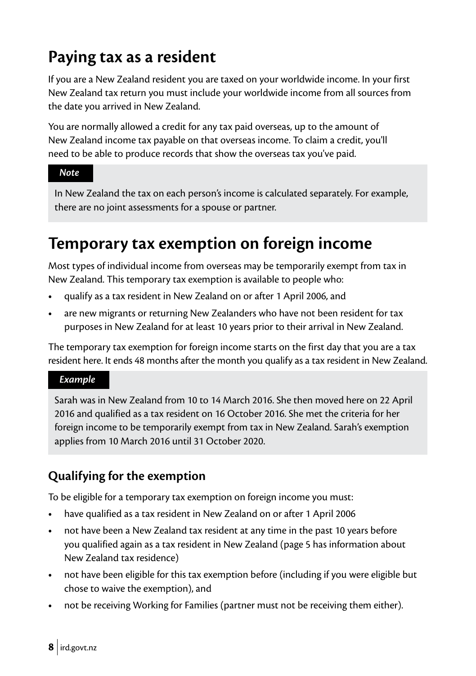## <span id="page-7-0"></span>**Paying tax as a resident**

If you are a New Zealand resident you are taxed on your worldwide income. In your first New Zealand tax return you must include your worldwide income from all sources from the date you arrived in New Zealand.

You are normally allowed a credit for any tax paid overseas, up to the amount of New Zealand income tax payable on that overseas income. To claim a credit, you'll need to be able to produce records that show the overseas tax you've paid.

#### *Note*

In New Zealand the tax on each person's income is calculated separately. For example, there are no joint assessments for a spouse or partner.

### **Temporary tax exemption on foreign income**

Most types of individual income from overseas may be temporarily exempt from tax in New Zealand. This temporary tax exemption is available to people who:

- **•** qualify as a tax resident in New Zealand on or after 1 April 2006, and
- **•** are new migrants or returning New Zealanders who have not been resident for tax purposes in New Zealand for at least 10 years prior to their arrival in New Zealand.

The temporary tax exemption for foreign income starts on the first day that you are a tax resident here. It ends 48 months after the month you qualify as a tax resident in New Zealand.

#### *Example*

Sarah was in New Zealand from 10 to 14 March 2016. She then moved here on 22 April 2016 and qualified as a tax resident on 16 October 2016. She met the criteria for her foreign income to be temporarily exempt from tax in New Zealand. Sarah's exemption applies from 10 March 2016 until 31 October 2020.

#### **Qualifying for the exemption**

To be eligible for a temporary tax exemption on foreign income you must:

- **•** have qualified as a tax resident in New Zealand on or after 1 April 2006
- **•** not have been a New Zealand tax resident at any time in the past 10 years before you qualified again as a tax resident in New Zealand (page 5 has information about New Zealand tax residence)
- **•** not have been eligible for this tax exemption before (including if you were eligible but chose to waive the exemption), and
- **•** not be receiving Working for Families (partner must not be receiving them either).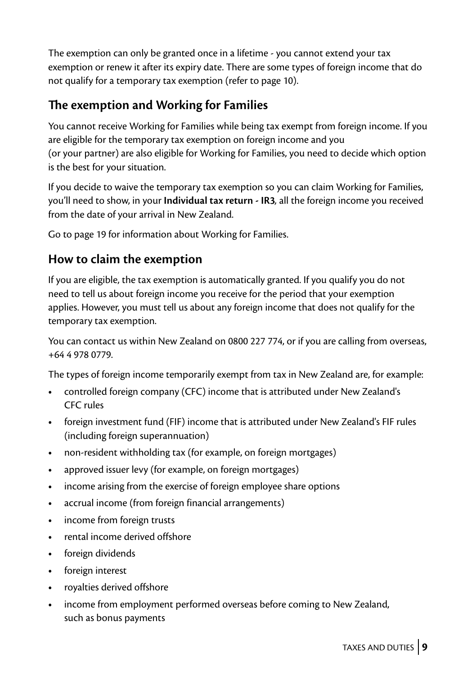The exemption can only be granted once in a lifetime - you cannot extend your tax exemption or renew it after its expiry date. There are some types of foreign income that do not qualify for a temporary tax exemption (refer to page 10).

#### **The exemption and Working for Families**

You cannot receive Working for Families while being tax exempt from foreign income. If you are eligible for the temporary tax exemption on foreign income and you (or your partner) are also eligible for Working for Families, you need to decide which option is the best for your situation.

If you decide to waive the temporary tax exemption so you can claim Working for Families, you'll need to show, in your **Individual tax return - IR3***,* all the foreign income you received from the date of your arrival in New Zealand.

Go to page 19 for information about Working for Families.

#### **How to claim the exemption**

If you are eligible, the tax exemption is automatically granted. If you qualify you do not need to tell us about foreign income you receive for the period that your exemption applies. However, you must tell us about any foreign income that does not qualify for the temporary tax exemption.

You can contact us within New Zealand on 0800 227 774, or if you are calling from overseas, +64 4 978 0779.

The types of foreign income temporarily exempt from tax in New Zealand are, for example:

- **•** controlled foreign company (CFC) income that is attributed under New Zealand's CFC rules
- **•** foreign investment fund (FIF) income that is attributed under New Zealand's FIF rules (including foreign superannuation)
- **•** non-resident withholding tax (for example, on foreign mortgages)
- **•** approved issuer levy (for example, on foreign mortgages)
- **•** income arising from the exercise of foreign employee share options
- **•** accrual income (from foreign financial arrangements)
- **•** income from foreign trusts
- **•** rental income derived offshore
- **•** foreign dividends
- **•** foreign interest
- **•** royalties derived offshore
- **•** income from employment performed overseas before coming to New Zealand, such as bonus payments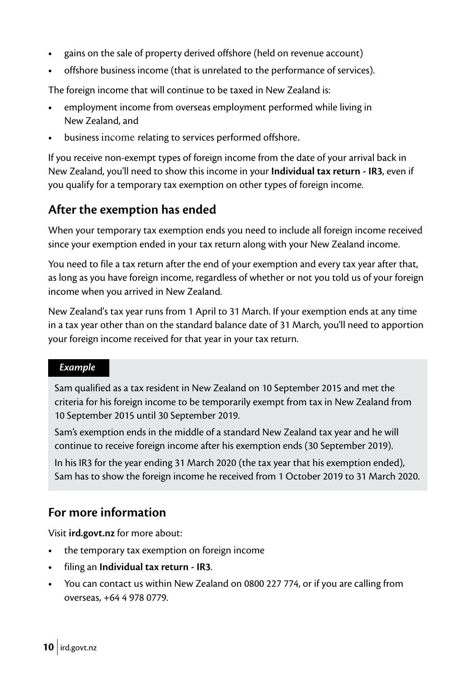- **•** gains on the sale of property derived offshore (held on revenue account)
- **•** offshore business income (that is unrelated to the performance of services).

The foreign income that will continue to be taxed in New Zealand is:

- **•** employment income from overseas employment performed while living in New Zealand, and
- **•** business income relating to services performed offshore.

If you receive non-exempt types of foreign income from the date of your arrival back in New Zealand, you'll need to show this income in your **Individual tax return - IR3**, even if you qualify for a temporary tax exemption on other types of foreign income.

#### **After the exemption has ended**

When your temporary tax exemption ends you need to include all foreign income received since your exemption ended in your tax return along with your New Zealand income.

You need to file a tax return after the end of your exemption and every tax year after that, as long as you have foreign income, regardless of whether or not you told us of your foreign income when you arrived in New Zealand.

New Zealand's tax year runs from 1 April to 31 March. If your exemption ends at any time in a tax year other than on the standard balance date of 31 March, you'll need to apportion your foreign income received for that year in your tax return.

#### *Example*

Sam qualified as a tax resident in New Zealand on 10 September 2015 and met the criteria for his foreign income to be temporarily exempt from tax in New Zealand from 10 September 2015 until 30 September 2019.

Sam's exemption ends in the middle of a standard New Zealand tax year and he will continue to receive foreign income after his exemption ends (30 September 2019).

In his IR3 for the year ending 31 March 2020 (the tax year that his exemption ended), Sam has to show the foreign income he received from 1 October 2019 to 31 March 2020.

#### **For more information**

Visit **[ird.govt.nz](http://ird.govt.nz)** for more about:

- **•** the temporary tax exemption on foreign income
- **•** filing an **Individual tax return IR3**.
- **•** You can contact us within New Zealand on 0800 227 774, or if you are calling from overseas, +64 4 978 0779.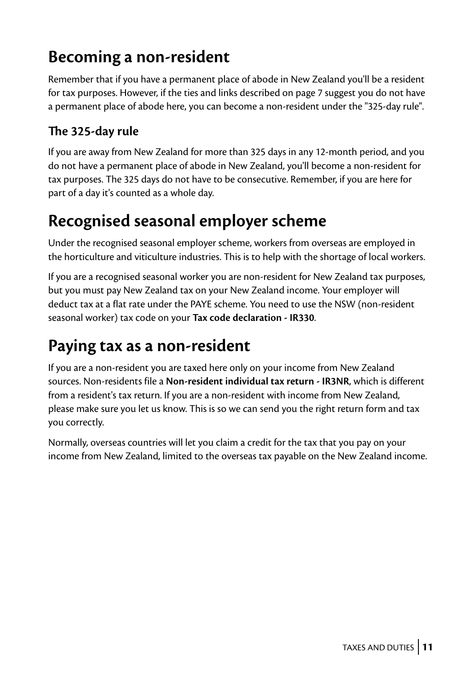## <span id="page-10-0"></span>**Becoming a non-resident**

Remember that if you have a permanent place of abode in New Zealand you'll be a resident for tax purposes. However, if the ties and links described on page 7 suggest you do not have a permanent place of abode here, you can become a non-resident under the "325-day rule".

#### **The 325-day rule**

If you are away from New Zealand for more than 325 days in any 12-month period, and you do not have a permanent place of abode in New Zealand, you'll become a non-resident for tax purposes. The 325 days do not have to be consecutive. Remember, if you are here for part of a day it's counted as a whole day.

### **Recognised seasonal employer scheme**

Under the recognised seasonal employer scheme, workers from overseas are employed in the horticulture and viticulture industries. This is to help with the shortage of local workers.

If you are a recognised seasonal worker you are non-resident for New Zealand tax purposes, but you must pay New Zealand tax on your New Zealand income. Your employer will deduct tax at a flat rate under the PAYE scheme. You need to use the NSW (non-resident seasonal worker) tax code on your **Tax code declaration - IR330**.

### **Paying tax as a non-resident**

If you are a non-resident you are taxed here only on your income from New Zealand sources. Non-residents file a **Non-resident individual tax return - IR3NR**, which is different from a resident's tax return. If you are a non-resident with income from New Zealand, please make sure you let us know. This is so we can send you the right return form and tax you correctly.

Normally, overseas countries will let you claim a credit for the tax that you pay on your income from New Zealand, limited to the overseas tax payable on the New Zealand income.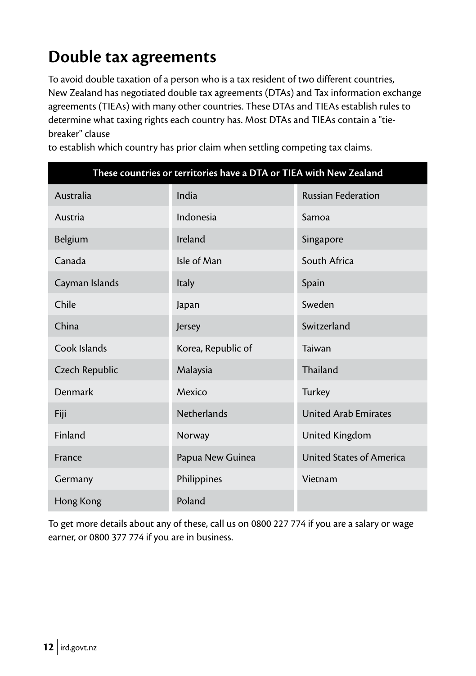## <span id="page-11-0"></span>**Double tax agreements**

To avoid double taxation of a person who is a tax resident of two different countries, New Zealand has negotiated double tax agreements (DTAs) and Tax information exchange agreements (TIEAs) with many other countries. These DTAs and TIEAs establish rules to determine what taxing rights each country has. Most DTAs and TIEAs contain a "tiebreaker" clause

| These countries or territories have a DTA or TIEA with New Zealand |                    |                             |  |
|--------------------------------------------------------------------|--------------------|-----------------------------|--|
| Australia                                                          | India              | <b>Russian Federation</b>   |  |
| Austria                                                            | Indonesia          | Samoa                       |  |
| Belgium                                                            | Ireland            | Singapore                   |  |
| Canada                                                             | Isle of Man        | South Africa                |  |
| Cayman Islands                                                     | Italy              | Spain                       |  |
| Chile                                                              | Japan              | Sweden                      |  |
| China                                                              | Jersey             | Switzerland                 |  |
| Cook Islands                                                       | Korea, Republic of | Taiwan                      |  |
| Czech Republic                                                     | Malaysia           | Thailand                    |  |
| Denmark                                                            | Mexico             | Turkey                      |  |
| Fiji                                                               | <b>Netherlands</b> | <b>United Arab Emirates</b> |  |
| Finland                                                            | Norway             | United Kingdom              |  |
| France                                                             | Papua New Guinea   | United States of America    |  |
| Germany                                                            | Philippines        | Vietnam                     |  |
| Hong Kong                                                          | Poland             |                             |  |

to establish which country has prior claim when settling competing tax claims.

To get more details about any of these, call us on 0800 227 774 if you are a salary or wage earner, or 0800 377 774 if you are in business.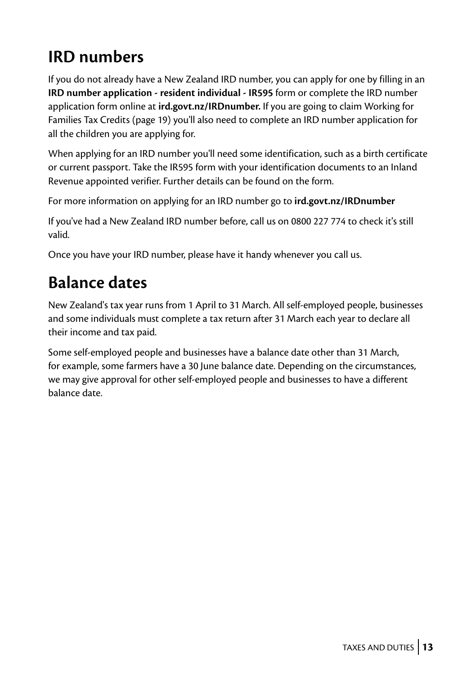## <span id="page-12-0"></span>**IRD numbers**

If you do not already have a New Zealand IRD number, you can apply for one by filling in an **IRD number application - resident individual - IR595** form or complete the IRD number application form online at **[ird.govt.nz/IRDnumber.](http://ird.govt.nz/IRDnumber)** If you are going to claim Working for Families Tax Credits (page 19) you'll also need to complete an IRD number application for all the children you are applying for.

When applying for an IRD number you'll need some identification, such as a birth certificate or current passport. Take the IR595 form with your identification documents to an Inland Revenue appointed verifier. Further details can be found on the form.

For more information on applying for an IRD number go to **[ird.govt.nz/IRDnumber](http://ird.govt.nz/IRDnumber)**

If you've had a New Zealand IRD number before, call us on 0800 227 774 to check it's still valid.

Once you have your IRD number, please have it handy whenever you call us.

## **Balance dates**

New Zealand's tax year runs from 1 April to 31 March. All self-employed people, businesses and some individuals must complete a tax return after 31 March each year to declare all their income and tax paid.

Some self-employed people and businesses have a balance date other than 31 March, for example, some farmers have a 30 June balance date. Depending on the circumstances, we may give approval for other self-employed people and businesses to have a different balance date.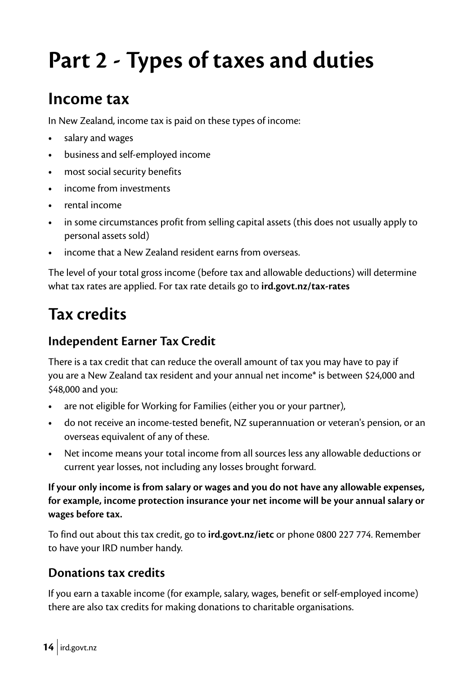## <span id="page-13-0"></span>**Part 2 - Types of taxes and duties**

### **Income tax**

In New Zealand, income tax is paid on these types of income:

- **•** salary and wages
- **•** business and self-employed income
- **•** most social security benefits
- **•** income from investments
- **•** rental income
- **•** in some circumstances profit from selling capital assets (this does not usually apply to personal assets sold)
- **•** income that a New Zealand resident earns from overseas.

The level of your total gross income (before tax and allowable deductions) will determine what tax rates are applied. For tax rate details go to **[ird.govt.nz/tax-rates](http://ird.govt.nz/tax-rates)**

## **Tax credits**

#### **Independent Earner Tax Credit**

There is a tax credit that can reduce the overall amount of tax you may have to pay if you are a New Zealand tax resident and your annual net income\* is between \$24,000 and \$48,000 and you:

- **•** are not eligible for Working for Families (either you or your partner),
- **•** do not receive an income-tested benefit, NZ superannuation or veteran's pension, or an overseas equivalent of any of these.
- **•** Net income means your total income from all sources less any allowable deductions or current year losses, not including any losses brought forward.

**If your only income is from salary or wages and you do not have any allowable expenses, for example, income protection insurance your net income will be your annual salary or wages before tax.**

To find out about this tax credit, go to **[ird.govt.nz/ietc](http://ird.govt.nz/ietc)** or phone 0800 227 774. Remember to have your IRD number handy.

#### **Donations tax credits**

If you earn a taxable income (for example, salary, wages, benefit or self-employed income) there are also tax credits for making donations to charitable organisations.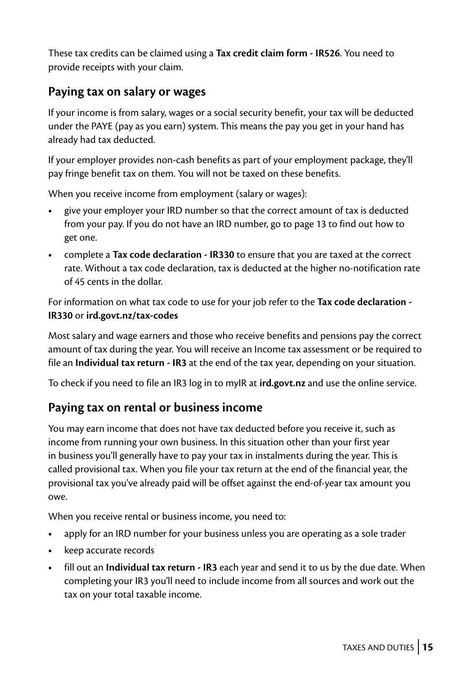These tax credits can be claimed using a **Tax credit claim form - IR526**. You need to provide receipts with your claim.

#### **Paying tax on salary or wages**

If your income is from salary, wages or a social security benefit, your tax will be deducted under the PAYE (pay as you earn) system. This means the pay you get in your hand has already had tax deducted.

If your employer provides non-cash benefits as part of your employment package, they'll pay fringe benefit tax on them. You will not be taxed on these benefits.

When you receive income from employment (salary or wages):

- **•** give your employer your IRD number so that the correct amount of tax is deducted from your pay. If you do not have an IRD number, go to page 13 to find out how to get one.
- **•** complete a **Tax code declaration IR330** to ensure that you are taxed at the correct rate. Without a tax code declaration, tax is deducted at the higher no-notification rate of 45 cents in the dollar.

For information on what tax code to use for your job refer to the **Tax code declaration - IR330** or **[ird.govt.nz/tax-codes](http://ird.govt.nz/tax-codes)**

Most salary and wage earners and those who receive benefits and pensions pay the correct amount of tax during the year. You will receive an Income tax assessment or be required to file an **Individual tax return - IR3** at the end of the tax year, depending on your situation.

To check if you need to file an IR3 log in to myIR at **[ird.govt.nz](http://ird.govt.nz)** and use the online service.

#### **Paying tax on rental or business income**

You may earn income that does not have tax deducted before you receive it, such as income from running your own business. In this situation other than your first year in business you'll generally have to pay your tax in instalments during the year. This is called provisional tax. When you file your tax return at the end of the financial year, the provisional tax you've already paid will be offset against the end-of-year tax amount you owe.

When you receive rental or business income, you need to:

- **•** apply for an IRD number for your business unless you are operating as a sole trader
- **•** keep accurate records
- **•** fill out an **Individual tax return IR3** each year and send it to us by the due date. When completing your IR3 you'll need to include income from all sources and work out the tax on your total taxable income.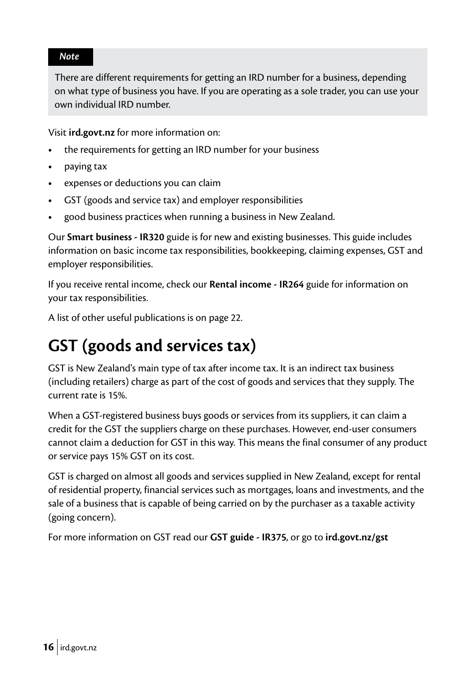#### <span id="page-15-0"></span>*Note*

There are different requirements for getting an IRD number for a business, depending on what type of business you have. If you are operating as a sole trader, you can use your own individual IRD number.

Visit **[ird.govt.nz](http://ird.govt.nz)** for more information on:

- **•** the requirements for getting an IRD number for your business
- **•** paying tax
- **•** expenses or deductions you can claim
- **•** GST (goods and service tax) and employer responsibilities
- **•** good business practices when running a business in New Zealand.

Our **Smart business - IR320** guide is for new and existing businesses. This guide includes information on basic income tax responsibilities, bookkeeping, claiming expenses, GST and employer responsibilities.

If you receive rental income, check our **Rental income - IR264** guide for information on your tax responsibilities.

A list of other useful publications is on page 22.

## **GST (goods and services tax)**

GST is New Zealand's main type of tax after income tax. It is an indirect tax business (including retailers) charge as part of the cost of goods and services that they supply. The current rate is 15%.

When a GST-registered business buys goods or services from its suppliers, it can claim a credit for the GST the suppliers charge on these purchases. However, end-user consumers cannot claim a deduction for GST in this way. This means the final consumer of any product or service pays 15% GST on its cost.

GST is charged on almost all goods and services supplied in New Zealand, except for rental of residential property, financial services such as mortgages, loans and investments, and the sale of a business that is capable of being carried on by the purchaser as a taxable activity (going concern).

For more information on GST read our **GST guide - IR375**, or go to **[ird.govt.nz/gst](http://ird.govt.nz/gst)**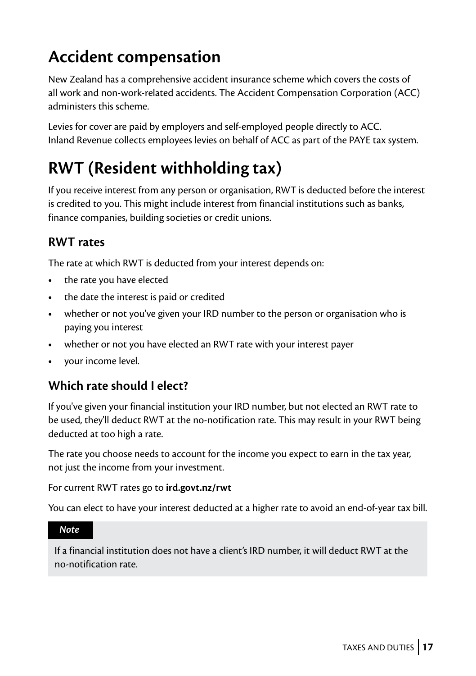## <span id="page-16-0"></span>**Accident compensation**

New Zealand has a comprehensive accident insurance scheme which covers the costs of all work and non-work-related accidents. The Accident Compensation Corporation (ACC) administers this scheme.

Levies for cover are paid by employers and self-employed people directly to ACC. Inland Revenue collects employees levies on behalf of ACC as part of the PAYE tax system.

## **RWT (Resident withholding tax)**

If you receive interest from any person or organisation, RWT is deducted before the interest is credited to you. This might include interest from financial institutions such as banks, finance companies, building societies or credit unions.

#### **RWT rates**

The rate at which RWT is deducted from your interest depends on:

- **•** the rate you have elected
- **•** the date the interest is paid or credited
- **•** whether or not you've given your IRD number to the person or organisation who is paying you interest
- **•** whether or not you have elected an RWT rate with your interest payer
- **•** your income level.

#### **Which rate should I elect?**

If you've given your financial institution your IRD number, but not elected an RWT rate to be used, they'll deduct RWT at the no-notification rate. This may result in your RWT being deducted at too high a rate.

The rate you choose needs to account for the income you expect to earn in the tax year, not just the income from your investment.

For current RWT rates go to **[ird.govt.nz/rwt](http://ird.govt.nz/rwt)**

You can elect to have your interest deducted at a higher rate to avoid an end-of-year tax bill.

*Note*

If a financial institution does not have a client's IRD number, it will deduct RWT at the no-notification rate.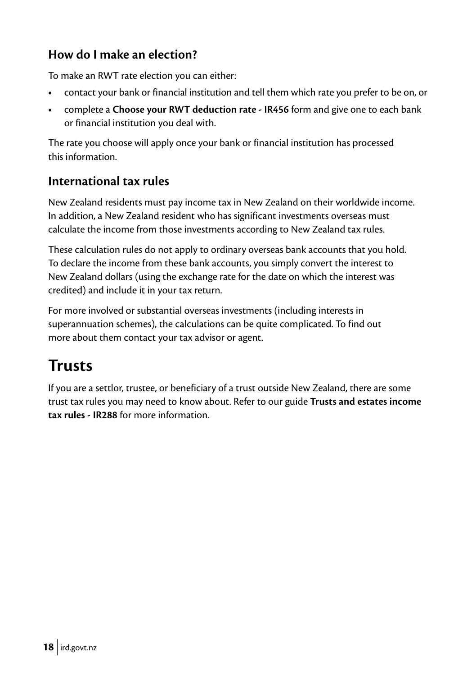#### <span id="page-17-0"></span>**How do I make an election?**

To make an RWT rate election you can either:

- **•** contact your bank or financial institution and tell them which rate you prefer to be on, or
- **•** complete a **Choose your RWT deduction rate IR456** form and give one to each bank or financial institution you deal with.

The rate you choose will apply once your bank or financial institution has processed this information.

#### **International tax rules**

New Zealand residents must pay income tax in New Zealand on their worldwide income. In addition, a New Zealand resident who has significant investments overseas must calculate the income from those investments according to New Zealand tax rules.

These calculation rules do not apply to ordinary overseas bank accounts that you hold. To declare the income from these bank accounts, you simply convert the interest to New Zealand dollars (using the exchange rate for the date on which the interest was credited) and include it in your tax return.

For more involved or substantial overseas investments (including interests in superannuation schemes), the calculations can be quite complicated. To find out more about them contact your tax advisor or agent.

## **Trusts**

If you are a settlor, trustee, or beneficiary of a trust outside New Zealand, there are some trust tax rules you may need to know about. Refer to our guide **Trusts and estates income tax rules - IR288** for more information.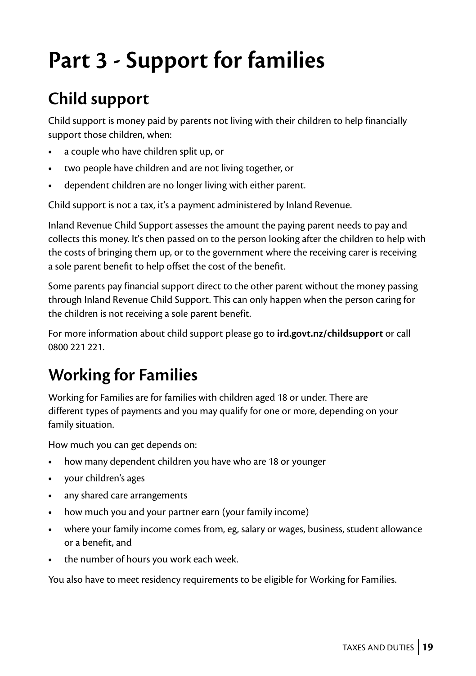## <span id="page-18-0"></span>**Part 3 - Support for families**

## **Child support**

Child support is money paid by parents not living with their children to help financially support those children, when:

- **•** a couple who have children split up, or
- **•** two people have children and are not living together, or
- **•** dependent children are no longer living with either parent.

Child support is not a tax, it's a payment administered by Inland Revenue.

Inland Revenue Child Support assesses the amount the paying parent needs to pay and collects this money. It's then passed on to the person looking after the children to help with the costs of bringing them up, or to the government where the receiving carer is receiving a sole parent benefit to help offset the cost of the benefit.

Some parents pay financial support direct to the other parent without the money passing through Inland Revenue Child Support. This can only happen when the person caring for the children is not receiving a sole parent benefit.

For more information about child support please go to **[ird.govt.nz/childsupport](http://ird.govt.nz/childsupport)** or call 0800 221 221.

## **Working for Families**

Working for Families are for families with children aged 18 or under. There are different types of payments and you may qualify for one or more, depending on your family situation.

How much you can get depends on:

- **•** how many dependent children you have who are 18 or younger
- **•** your children's ages
- **•** any shared care arrangements
- **•** how much you and your partner earn (your family income)
- **•** where your family income comes from, eg, salary or wages, business, student allowance or a benefit, and
- **•** the number of hours you work each week.

You also have to meet residency requirements to be eligible for Working for Families.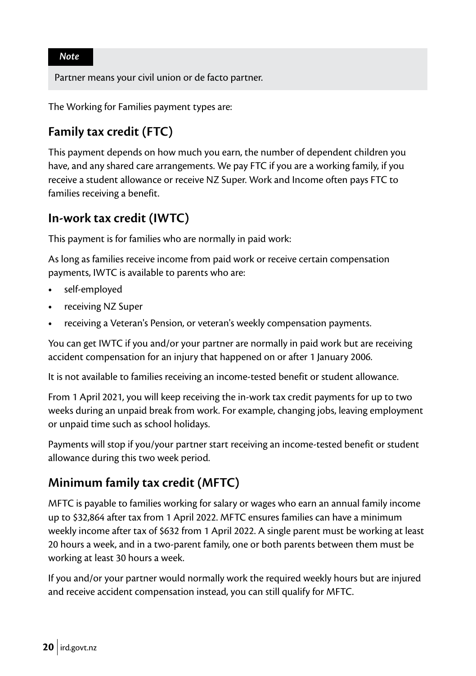*Note*

Partner means your civil union or de facto partner.

The Working for Families payment types are:

#### **Family tax credit (FTC)**

This payment depends on how much you earn, the number of dependent children you have, and any shared care arrangements. We pay FTC if you are a working family, if you receive a student allowance or receive NZ Super. Work and Income often pays FTC to families receiving a benefit.

#### **In-work tax credit (IWTC)**

This payment is for families who are normally in paid work:

As long as families receive income from paid work or receive certain compensation payments, IWTC is available to parents who are:

- **•** self-employed
- **•** receiving NZ Super
- **•** receiving a Veteran's Pension, or veteran's weekly compensation payments.

You can get IWTC if you and/or your partner are normally in paid work but are receiving accident compensation for an injury that happened on or after 1 January 2006.

It is not available to families receiving an income-tested benefit or student allowance.

From 1 April 2021, you will keep receiving the in-work tax credit payments for up to two weeks during an unpaid break from work. For example, changing jobs, leaving employment or unpaid time such as school holidays.

Payments will stop if you/your partner start receiving an income-tested benefit or student allowance during this two week period.

#### **Minimum family tax credit (MFTC)**

MFTC is payable to families working for salary or wages who earn an annual family income up to \$32,864 after tax from 1 April 2022. MFTC ensures families can have a minimum weekly income after tax of \$632 from 1 April 2022. A single parent must be working at least 20 hours a week, and in a two-parent family, one or both parents between them must be working at least 30 hours a week.

If you and/or your partner would normally work the required weekly hours but are injured and receive accident compensation instead, you can still qualify for MFTC.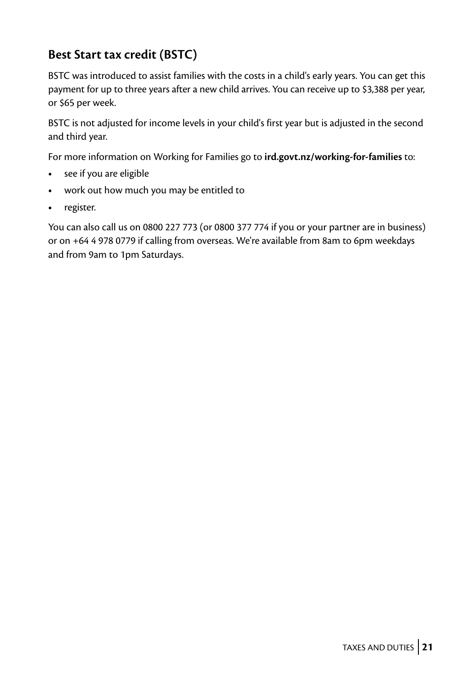#### **Best Start tax credit (BSTC)**

BSTC was introduced to assist families with the costs in a child's early years. You can get this payment for up to three years after a new child arrives. You can receive up to \$3,388 per year, or \$65 per week.

BSTC is not adjusted for income levels in your child's first year but is adjusted in the second and third year.

For more information on Working for Families go to **[ird.govt.nz/working-for-families](http://ird.govt.nz/working-for-families)** to:

- **•** see if you are eligible
- **•** work out how much you may be entitled to
- **•** register.

You can also call us on 0800 227 773 (or 0800 377 774 if you or your partner are in business) or on +64 4 978 0779 if calling from overseas. We're available from 8am to 6pm weekdays and from 9am to 1pm Saturdays.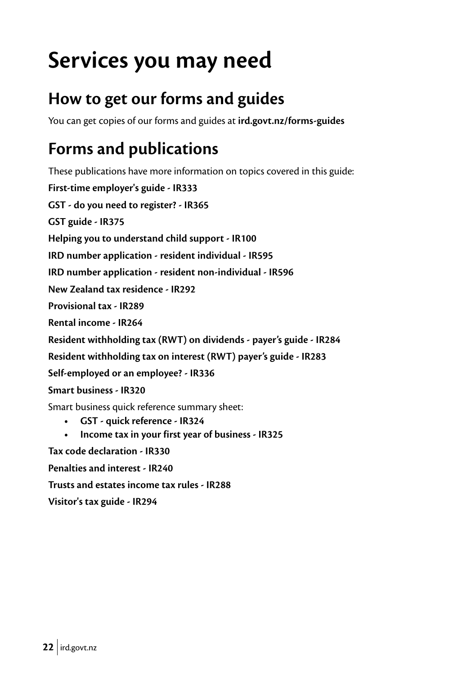## <span id="page-21-0"></span>**Services you may need**

## **How to get our forms and guides**

You can get copies of our forms and guides at **[ird.govt.nz/forms-guides](http://ird.govt.nz/forms-guides)**

## **Forms and publications**

These publications have more information on topics covered in this guide: **First-time employer's guide - IR333 GST - do you need to register? - IR365 GST guide - IR375 Helping you to understand child support - IR100 IRD number application - resident individual - IR595 IRD number application - resident non-individual - IR596 New Zealand tax residence - IR292 Provisional tax - IR289 Rental income - IR264 Resident withholding tax (RWT) on dividends - payer's guide - IR284 Resident withholding tax on interest (RWT) payer's guide - IR283 Self-employed or an employee? - IR336 Smart business - IR320** Smart business quick reference summary sheet: **• GST - quick reference - IR324 • Income tax in your first year of business - IR325 Tax code declaration - IR330 Penalties and interest - IR240 Trusts and estates income tax rules - IR288**

**Visitor's tax guide - IR294**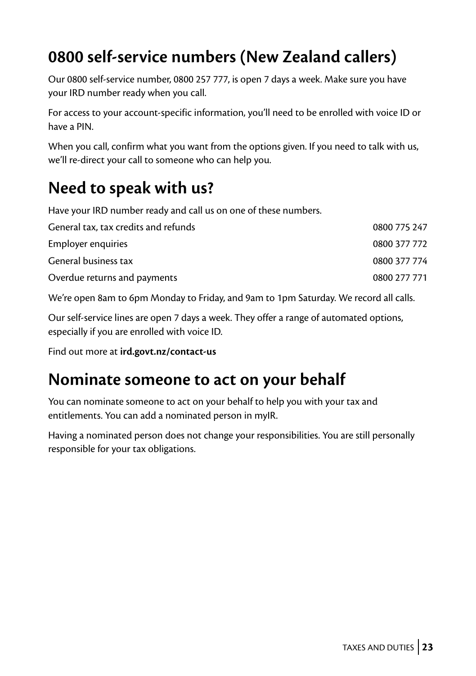## <span id="page-22-0"></span>**0800 self-service numbers (New Zealand callers)**

Our 0800 self-service number, 0800 257 777, is open 7 days a week. Make sure you have your IRD number ready when you call.

For access to your account-specific information, you'll need to be enrolled with voice ID or have a PIN.

When you call, confirm what you want from the options given. If you need to talk with us, we'll re-direct your call to someone who can help you.

## **Need to speak with us?**

Have your IRD number ready and call us on one of these numbers.

| General tax, tax credits and refunds | 0800 775 247 |
|--------------------------------------|--------------|
| Employer enquiries                   | 0800 377 772 |
| General business tax                 | 0800 377 774 |
| Overdue returns and payments         | 0800 277 771 |
|                                      |              |

We're open 8am to 6pm Monday to Friday, and 9am to 1pm Saturday. We record all calls.

Our self-service lines are open 7 days a week. They offer a range of automated options, especially if you are enrolled with voice ID.

Find out more at **[ird.govt.nz/contact-us](http://ird.govt.nz/contact-us)**

### **Nominate someone to act on your behalf**

You can nominate someone to act on your behalf to help you with your tax and entitlements. You can add a nominated person in myIR.

Having a nominated person does not change your responsibilities. You are still personally responsible for your tax obligations.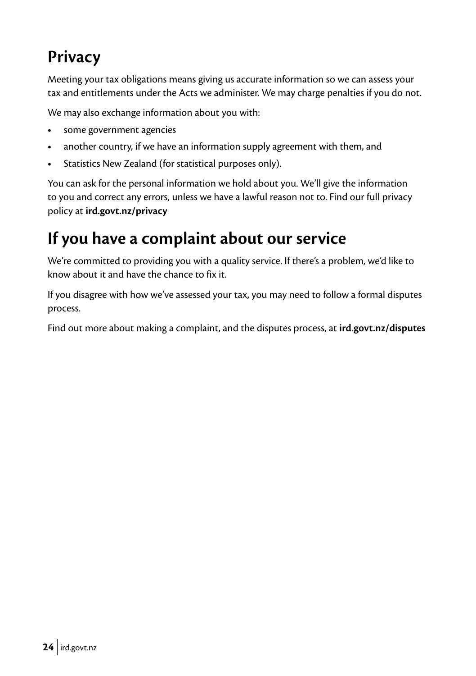## <span id="page-23-0"></span>**Privacy**

Meeting your tax obligations means giving us accurate information so we can assess your tax and entitlements under the Acts we administer. We may charge penalties if you do not.

We may also exchange information about you with:

- **•** some government agencies
- **•** another country, if we have an information supply agreement with them, and
- **•** Statistics New Zealand (for statistical purposes only).

You can ask for the personal information we hold about you. We'll give the information to you and correct any errors, unless we have a lawful reason not to. Find our full privacy policy at **[ird.govt.nz/privacy](http://ird.govt.nz/privacy)**

## **If you have a complaint about our service**

We're committed to providing you with a quality service. If there's a problem, we'd like to know about it and have the chance to fix it.

If you disagree with how we've assessed your tax, you may need to follow a formal disputes process.

Find out more about making a complaint, and the disputes process, at **[ird.govt.nz/disputes](http://ird.govt.nz/disputes)**